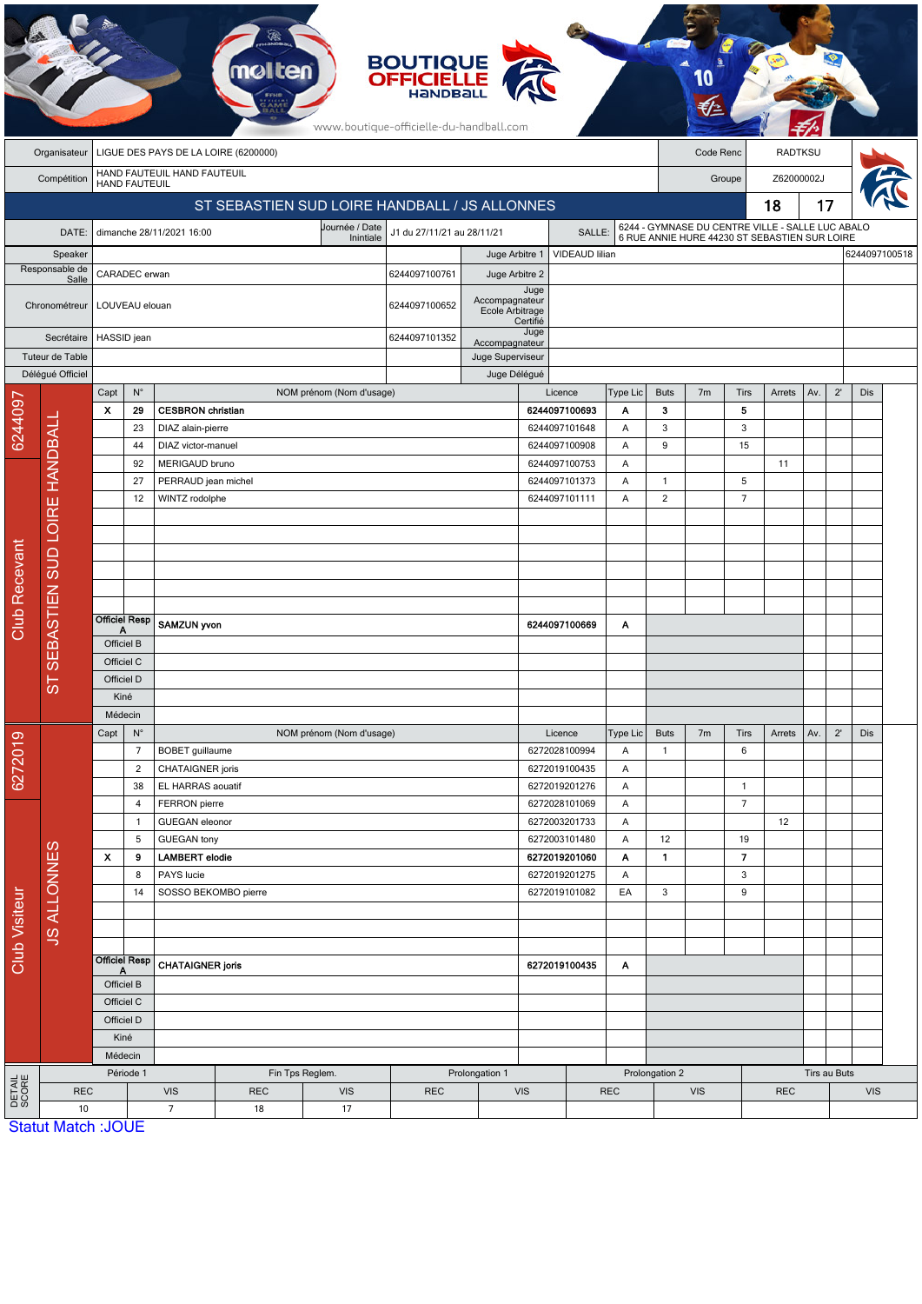|                         | <b>BOUTIQUE</b><br><b>OFFICIELLE</b><br>HANDBALL<br>www.boutique-officielle-du-handball.com |                                                       |                                               |                                      |                          |                                              |                |                  |                                                       |                                |                                                                                                   |                  |                |                |                |     |              |     |               |
|-------------------------|---------------------------------------------------------------------------------------------|-------------------------------------------------------|-----------------------------------------------|--------------------------------------|--------------------------|----------------------------------------------|----------------|------------------|-------------------------------------------------------|--------------------------------|---------------------------------------------------------------------------------------------------|------------------|----------------|----------------|----------------|-----|--------------|-----|---------------|
|                         | Organisateur                                                                                | LIGUE DES PAYS DE LA LOIRE (6200000)                  |                                               |                                      |                          |                                              |                |                  |                                                       |                                |                                                                                                   | Code Renc        |                |                | <b>RADTKSU</b> |     |              |     |               |
|                         | Compétition                                                                                 |                                                       | <b>HAND FAUTEUIL</b>                          | HAND FAUTEUIL HAND FAUTEUIL          |                          |                                              |                |                  |                                                       |                                | Groupe                                                                                            |                  |                |                | Z62000002J     |     |              |     |               |
|                         |                                                                                             |                                                       | ST SEBASTIEN SUD LOIRE HANDBALL / JS ALLONNES |                                      |                          |                                              |                |                  |                                                       |                                |                                                                                                   | 18               |                |                |                | 17  |              |     |               |
|                         | DATE:                                                                                       |                                                       |                                               | dimanche 28/11/2021 16:00            |                          | Journée / Date<br>J1 du 27/11/21 au 28/11/21 |                |                  | SALLE:                                                |                                | 6244 - GYMNASE DU CENTRE VILLE - SALLE LUC ABALO<br>6 RUE ANNIE HURE 44230 ST SEBASTIEN SUR LOIRE |                  |                |                |                |     |              |     |               |
| Speaker                 |                                                                                             |                                                       |                                               |                                      |                          |                                              |                | Juge Arbitre 1   |                                                       | VIDEAUD lilian                 |                                                                                                   |                  |                |                |                |     |              |     | 6244097100518 |
| Responsable de<br>Salle |                                                                                             | CARADEC erwan                                         |                                               |                                      |                          |                                              | 6244097100761  | Juge Arbitre 2   |                                                       |                                |                                                                                                   |                  |                |                |                |     |              |     |               |
|                         | Chronométreur                                                                               | LOUVEAU elouan                                        |                                               |                                      |                          |                                              | 6244097100652  |                  | Juge<br>Accompagnateur<br>Ecole Arbitrage<br>Certifié |                                |                                                                                                   |                  |                |                |                |     |              |     |               |
|                         | Secrétaire                                                                                  |                                                       | HASSID jean                                   |                                      |                          |                                              |                | Accompagnateur   | Juge                                                  |                                |                                                                                                   |                  |                |                |                |     |              |     |               |
|                         | Tuteur de Table                                                                             |                                                       |                                               |                                      |                          |                                              |                | Juge Superviseur |                                                       |                                |                                                                                                   |                  |                |                |                |     |              |     |               |
|                         | Délégué Officiel                                                                            |                                                       | $\mathsf{N}^\circ$                            |                                      |                          |                                              |                | Juge Délégué     |                                                       |                                |                                                                                                   |                  |                |                |                |     | $2^{\prime}$ |     |               |
|                         |                                                                                             | Capt<br>$\boldsymbol{\mathsf{x}}$                     | 29                                            | <b>CESBRON</b> christian             |                          | NOM prénom (Nom d'usage)                     |                |                  |                                                       | Licence<br>6244097100693       | Type Lic<br>Α                                                                                     | <b>Buts</b><br>3 | 7 <sub>m</sub> | Tirs<br>5      | Arrets         | Av. |              | Dis |               |
| 6244097                 |                                                                                             |                                                       | 23                                            | DIAZ alain-pierre                    |                          |                                              |                |                  |                                                       | 6244097101648                  | Α                                                                                                 | $\sqrt{3}$       |                | 3              |                |     |              |     |               |
|                         |                                                                                             |                                                       | 44                                            | DIAZ victor-manuel                   |                          |                                              |                |                  |                                                       | 6244097100908                  | Α                                                                                                 | 9                |                | 15             |                |     |              |     |               |
|                         |                                                                                             |                                                       | 92                                            | MERIGAUD bruno                       |                          |                                              |                |                  |                                                       | 6244097100753                  | Α                                                                                                 |                  |                |                | 11             |     |              |     |               |
|                         |                                                                                             |                                                       | 27                                            | PERRAUD jean michel                  |                          |                                              |                |                  |                                                       | 6244097101373                  | Α                                                                                                 | $\mathbf{1}$     |                | 5              |                |     |              |     |               |
|                         |                                                                                             |                                                       | 12                                            | WINTZ rodolphe                       |                          |                                              |                |                  |                                                       | 6244097101111                  | Α                                                                                                 | $\overline{2}$   |                | $\overline{7}$ |                |     |              |     |               |
|                         |                                                                                             |                                                       |                                               |                                      |                          |                                              |                |                  |                                                       |                                |                                                                                                   |                  |                |                |                |     |              |     |               |
|                         |                                                                                             |                                                       |                                               |                                      |                          |                                              |                |                  |                                                       |                                |                                                                                                   |                  |                |                |                |     |              |     |               |
|                         |                                                                                             |                                                       |                                               |                                      |                          |                                              |                |                  |                                                       |                                |                                                                                                   |                  |                |                |                |     |              |     |               |
|                         |                                                                                             |                                                       |                                               |                                      |                          |                                              |                |                  |                                                       |                                |                                                                                                   |                  |                |                |                |     |              |     |               |
|                         |                                                                                             |                                                       |                                               |                                      |                          |                                              |                |                  |                                                       |                                |                                                                                                   |                  |                |                |                |     |              |     |               |
| <b>Club Recevant</b>    |                                                                                             | <b>Officiel Resp</b><br>Α                             |                                               | SAMZUN yvon                          |                          |                                              |                |                  | 6244097100669                                         | Α                              |                                                                                                   |                  |                |                |                |     |              |     |               |
|                         | SEBASTIEN SUD LOIRE HANDBALL<br>Ö٥                                                          | Officiel B                                            |                                               |                                      |                          |                                              |                |                  |                                                       |                                |                                                                                                   |                  |                |                |                |     |              |     |               |
|                         |                                                                                             | Officiel C                                            |                                               |                                      |                          |                                              |                |                  |                                                       |                                |                                                                                                   |                  |                |                |                |     |              |     |               |
|                         |                                                                                             | Officiel D<br>Kiné                                    |                                               |                                      |                          |                                              |                |                  |                                                       |                                |                                                                                                   |                  |                |                |                |     |              |     |               |
|                         |                                                                                             | Médecin                                               |                                               |                                      |                          |                                              |                |                  |                                                       |                                |                                                                                                   |                  |                |                |                |     |              |     |               |
| 6272019                 |                                                                                             | Capt<br>$\mathsf{N}^\circ$                            |                                               |                                      | NOM prénom (Nom d'usage) |                                              |                | Licence          | Type Lic                                              | <b>Buts</b>                    | 7 <sub>m</sub>                                                                                    | Tirs             | Arrets         | Av.            | $2^{\prime}$   | Dis |              |     |               |
|                         |                                                                                             |                                                       | $\overline{7}$                                | BOBET guillaume                      |                          |                                              |                |                  |                                                       | 6272028100994                  | Α                                                                                                 | $\mathbf{1}$     |                | 6              |                |     |              |     |               |
|                         |                                                                                             |                                                       | $\overline{c}$                                | CHATAIGNER joris                     |                          |                                              |                |                  |                                                       | 6272019100435                  | Α                                                                                                 |                  |                |                |                |     |              |     |               |
|                         |                                                                                             |                                                       | 38                                            | EL HARRAS aouatif                    |                          |                                              |                |                  |                                                       | 6272019201276                  | Α                                                                                                 |                  |                | $\mathbf{1}$   |                |     |              |     |               |
|                         |                                                                                             |                                                       | 4                                             | FERRON pierre                        |                          |                                              |                |                  |                                                       | 6272028101069                  | Α                                                                                                 |                  |                | $\overline{7}$ |                |     |              |     |               |
|                         |                                                                                             |                                                       | 1<br>5                                        | GUEGAN eleonor<br><b>GUEGAN tony</b> |                          |                                              |                |                  |                                                       | 6272003201733<br>6272003101480 | Α<br>Α                                                                                            | 12               |                | 19             | 12             |     |              |     |               |
| Club Visiteur           |                                                                                             | X                                                     | 9                                             | <b>LAMBERT</b> elodie                |                          |                                              |                |                  |                                                       | 6272019201060                  | Α                                                                                                 | 1.               |                | $\overline{7}$ |                |     |              |     |               |
|                         |                                                                                             |                                                       | 8                                             | PAYS lucie                           |                          |                                              |                |                  |                                                       | 6272019201275                  | Α                                                                                                 |                  |                | 3              |                |     |              |     |               |
|                         |                                                                                             |                                                       | SOSSO BEKOMBO pierre<br>14                    |                                      |                          |                                              |                |                  | 6272019101082                                         |                                | EA                                                                                                | 3                |                | 9              |                |     |              |     |               |
|                         | <b>JS ALLONNES</b>                                                                          |                                                       |                                               |                                      |                          |                                              |                |                  |                                                       |                                |                                                                                                   |                  |                |                |                |     |              |     |               |
|                         |                                                                                             |                                                       |                                               |                                      |                          |                                              |                |                  |                                                       |                                |                                                                                                   |                  |                |                |                |     |              |     |               |
|                         |                                                                                             | <b>Officiel Resp</b><br>A<br>Officiel B<br>Officiel C |                                               | <b>CHATAIGNER joris</b>              |                          |                                              |                |                  |                                                       |                                |                                                                                                   |                  |                |                |                |     |              |     |               |
|                         |                                                                                             |                                                       |                                               |                                      |                          |                                              |                | 6272019100435    |                                                       | A                              |                                                                                                   |                  |                |                |                |     |              |     |               |
|                         |                                                                                             |                                                       |                                               |                                      |                          |                                              |                |                  |                                                       |                                |                                                                                                   |                  |                |                |                |     |              |     |               |
|                         |                                                                                             | Officiel D                                            |                                               |                                      |                          |                                              |                |                  |                                                       |                                |                                                                                                   |                  |                |                |                |     |              |     |               |
|                         |                                                                                             | Kiné                                                  |                                               |                                      |                          |                                              |                |                  |                                                       |                                |                                                                                                   |                  |                |                |                |     |              |     |               |
|                         |                                                                                             |                                                       | Médecin                                       |                                      |                          |                                              |                |                  |                                                       |                                |                                                                                                   |                  |                |                |                |     |              |     |               |
|                         |                                                                                             | Période 1                                             |                                               | Fin Tps Reglem.                      |                          |                                              | Prolongation 1 |                  |                                                       |                                |                                                                                                   | Prolongation 2   |                |                |                |     | Tirs au Buts |     |               |
| DETAIL<br>SCORE         | <b>REC</b>                                                                                  |                                                       |                                               | <b>VIS</b>                           | <b>REC</b>               | <b>VIS</b>                                   | <b>REC</b>     |                  | <b>VIS</b>                                            | <b>REC</b>                     |                                                                                                   | <b>VIS</b>       |                |                | <b>REC</b>     |     | <b>VIS</b>   |     |               |
|                         | 10                                                                                          | <b>Statut Match: JOUE</b>                             |                                               | $\overline{7}$                       | 18                       | 17                                           |                |                  |                                                       |                                |                                                                                                   |                  |                |                |                |     |              |     |               |